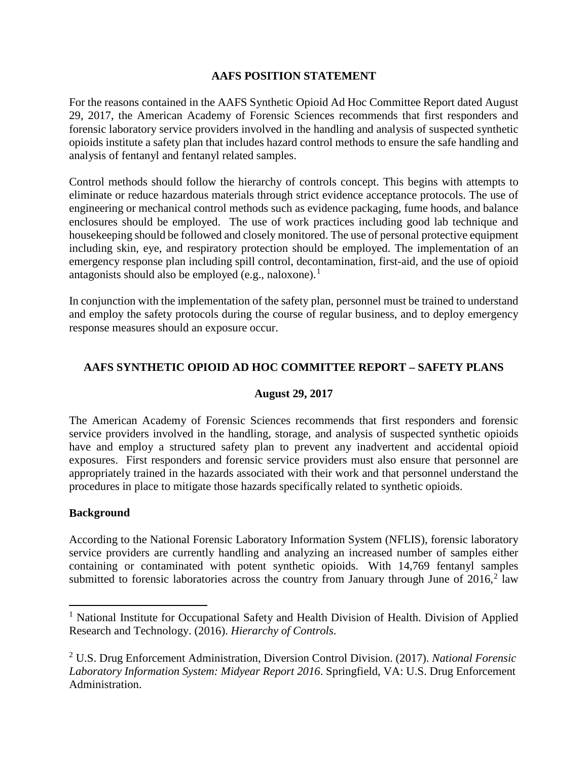### **AAFS POSITION STATEMENT**

For the reasons contained in the AAFS Synthetic Opioid Ad Hoc Committee Report dated August 29, 2017, the American Academy of Forensic Sciences recommends that first responders and forensic laboratory service providers involved in the handling and analysis of suspected synthetic opioids institute a safety plan that includes hazard control methods to ensure the safe handling and analysis of fentanyl and fentanyl related samples.

Control methods should follow the hierarchy of controls concept. This begins with attempts to eliminate or reduce hazardous materials through strict evidence acceptance protocols. The use of engineering or mechanical control methods such as evidence packaging, fume hoods, and balance enclosures should be employed. The use of work practices including good lab technique and housekeeping should be followed and closely monitored. The use of personal protective equipment including skin, eye, and respiratory protection should be employed. The implementation of an emergency response plan including spill control, decontamination, first-aid, and the use of opioid antagonists should also be employed (e.g., naloxone).<sup>[1](#page-0-0)</sup>

In conjunction with the implementation of the safety plan, personnel must be trained to understand and employ the safety protocols during the course of regular business, and to deploy emergency response measures should an exposure occur.

## **AAFS SYNTHETIC OPIOID AD HOC COMMITTEE REPORT – SAFETY PLANS**

#### **August 29, 2017**

The American Academy of Forensic Sciences recommends that first responders and forensic service providers involved in the handling, storage, and analysis of suspected synthetic opioids have and employ a structured safety plan to prevent any inadvertent and accidental opioid exposures. First responders and forensic service providers must also ensure that personnel are appropriately trained in the hazards associated with their work and that personnel understand the procedures in place to mitigate those hazards specifically related to synthetic opioids.

#### **Background**

According to the National Forensic Laboratory Information System (NFLIS), forensic laboratory service providers are currently handling and analyzing an increased number of samples either containing or contaminated with potent synthetic opioids. With 14,769 fentanyl samples submitted to forensic laboratories across the country from January through June of  $2016$  $2016$ ,<sup>2</sup> law

<span id="page-0-0"></span><sup>&</sup>lt;sup>1</sup> National Institute for Occupational Safety and Health Division of Health. Division of Applied Research and Technology. (2016). *Hierarchy of Controls*.

<span id="page-0-1"></span><sup>2</sup> U.S. Drug Enforcement Administration, Diversion Control Division. (2017). *National Forensic Laboratory Information System: Midyear Report 2016*. Springfield, VA: U.S. Drug Enforcement Administration.